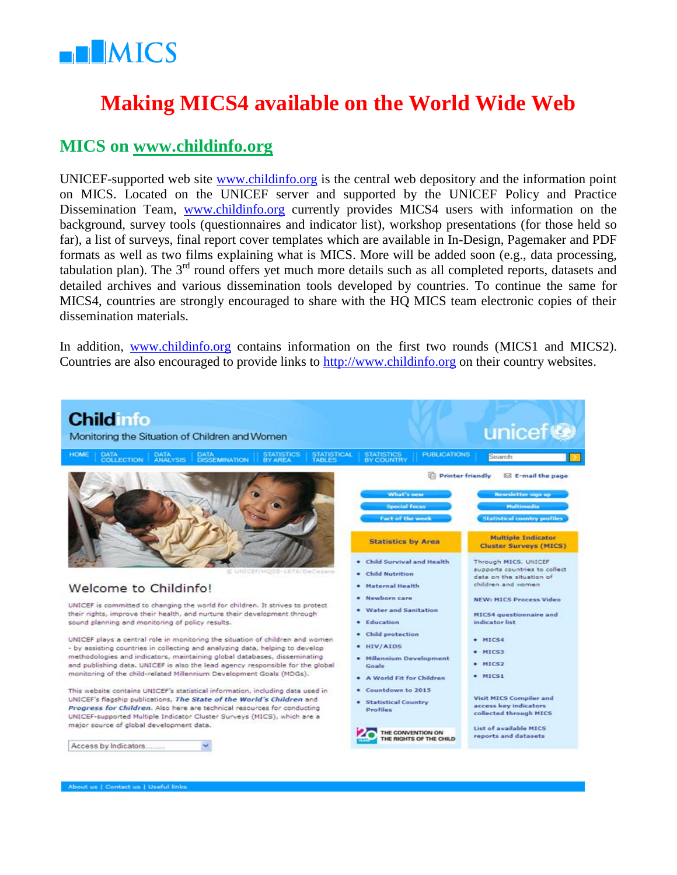

# **Making MICS4 available on the World Wide Web**

#### **MICS on [www.childinfo.org](http://www.childinfo.org/)**

UNICEF-supported web site [www.childinfo.org](http://www.childinfo.org/) is the central web depository and the information point on MICS. Located on the UNICEF server and supported by the UNICEF Policy and Practice Dissemination Team, [www.childinfo.org](http://www.childinfo.org/) currently provides MICS4 users with information on the background, survey tools (questionnaires and indicator list), workshop presentations (for those held so far), a list of surveys, final report cover templates which are available in In-Design, Pagemaker and PDF formats as well as two films explaining what is MICS. More will be added soon (e.g., data processing, tabulation plan). The 3<sup>rd</sup> round offers yet much more details such as all completed reports, datasets and detailed archives and various dissemination tools developed by countries. To continue the same for MICS4, countries are strongly encouraged to share with the HQ MICS team electronic copies of their dissemination materials.

In addition, [www.childinfo.org](http://www.childinfo.org/) contains information on the first two rounds (MICS1 and MICS2). Countries are also encouraged to provide links to [http://www.childinfo.org](http://www.childinfo.org/) on their country websites.

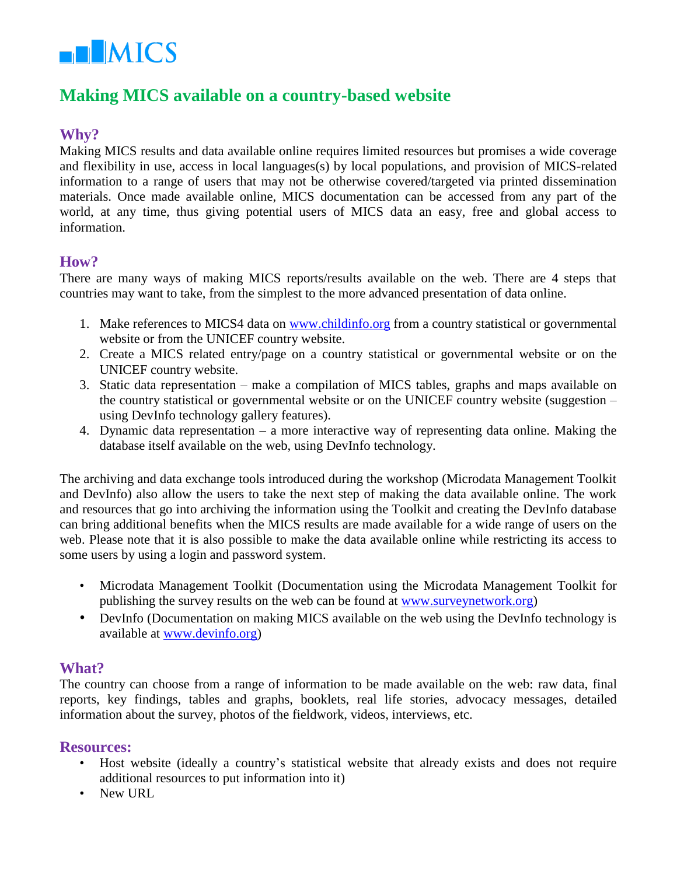

### **Making MICS available on a country-based website**

#### **Why?**

Making MICS results and data available online requires limited resources but promises a wide coverage and flexibility in use, access in local languages(s) by local populations, and provision of MICS-related information to a range of users that may not be otherwise covered/targeted via printed dissemination materials. Once made available online, MICS documentation can be accessed from any part of the world, at any time, thus giving potential users of MICS data an easy, free and global access to information.

#### **How?**

There are many ways of making MICS reports/results available on the web. There are 4 steps that countries may want to take, from the simplest to the more advanced presentation of data online.

- 1. Make references to MICS4 data on [www.childinfo.org](http://www.childinfo.org/) from a country statistical or governmental website or from the UNICEF country website.
- 2. Create a MICS related entry/page on a country statistical or governmental website or on the UNICEF country website.
- 3. Static data representation make a compilation of MICS tables, graphs and maps available on the country statistical or governmental website or on the UNICEF country website (suggestion – using DevInfo technology gallery features).
- 4. Dynamic data representation a more interactive way of representing data online. Making the database itself available on the web, using DevInfo technology.

The archiving and data exchange tools introduced during the workshop (Microdata Management Toolkit and DevInfo) also allow the users to take the next step of making the data available online. The work and resources that go into archiving the information using the Toolkit and creating the DevInfo database can bring additional benefits when the MICS results are made available for a wide range of users on the web. Please note that it is also possible to make the data available online while restricting its access to some users by using a login and password system.

- Microdata Management Toolkit (Documentation using the Microdata Management Toolkit for publishing the survey results on the web can be found at [www.surveynetwork.org\)](http://www.surveynetwork.org/)
- DevInfo (Documentation on making MICS available on the web using the DevInfo technology is available at [www.devinfo.org\)](http://www.devinfo.org/)

#### **What?**

The country can choose from a range of information to be made available on the web: raw data, final reports, key findings, tables and graphs, booklets, real life stories, advocacy messages, detailed information about the survey, photos of the fieldwork, videos, interviews, etc.

#### **Resources:**

- Host website (ideally a country's statistical website that already exists and does not require additional resources to put information into it)
- New URL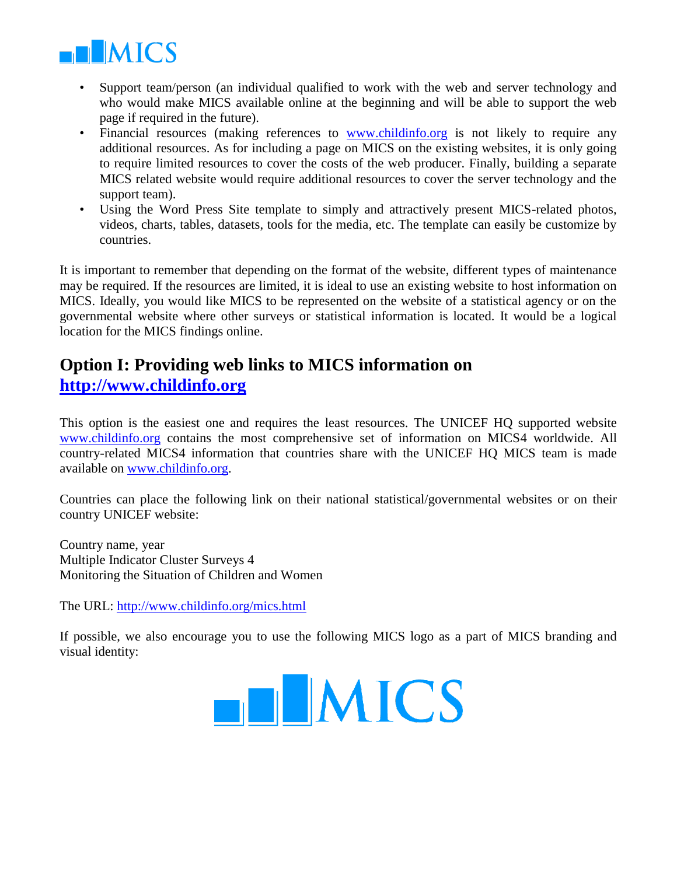

- Support team/person (an individual qualified to work with the web and server technology and who would make MICS available online at the beginning and will be able to support the web page if required in the future).
- Financial resources (making references to [www.childinfo.org](http://www.childinfo.org/) is not likely to require any additional resources. As for including a page on MICS on the existing websites, it is only going to require limited resources to cover the costs of the web producer. Finally, building a separate MICS related website would require additional resources to cover the server technology and the support team).
- Using the Word Press Site template to simply and attractively present MICS-related photos, videos, charts, tables, datasets, tools for the media, etc. The template can easily be customize by countries.

It is important to remember that depending on the format of the website, different types of maintenance may be required. If the resources are limited, it is ideal to use an existing website to host information on MICS. Ideally, you would like MICS to be represented on the website of a statistical agency or on the governmental website where other surveys or statistical information is located. It would be a logical location for the MICS findings online.

# **Option I: Providing web links to MICS information on [http://www.childinfo.org](http://www.childinfo.org/)**

This option is the easiest one and requires the least resources. The UNICEF HQ supported website [www.childinfo.org](http://www.childinfo.org/) contains the most comprehensive set of information on MICS4 worldwide. All country-related MICS4 information that countries share with the UNICEF HQ MICS team is made available on [www.childinfo.org.](http://www.childinfo.org/)

Countries can place the following link on their national statistical/governmental websites or on their country UNICEF website:

Country name, year Multiple Indicator Cluster Surveys 4 Monitoring the Situation of Children and Women

The URL:<http://www.childinfo.org/mics.html>

If possible, we also encourage you to use the following MICS logo as a part of MICS branding and visual identity:

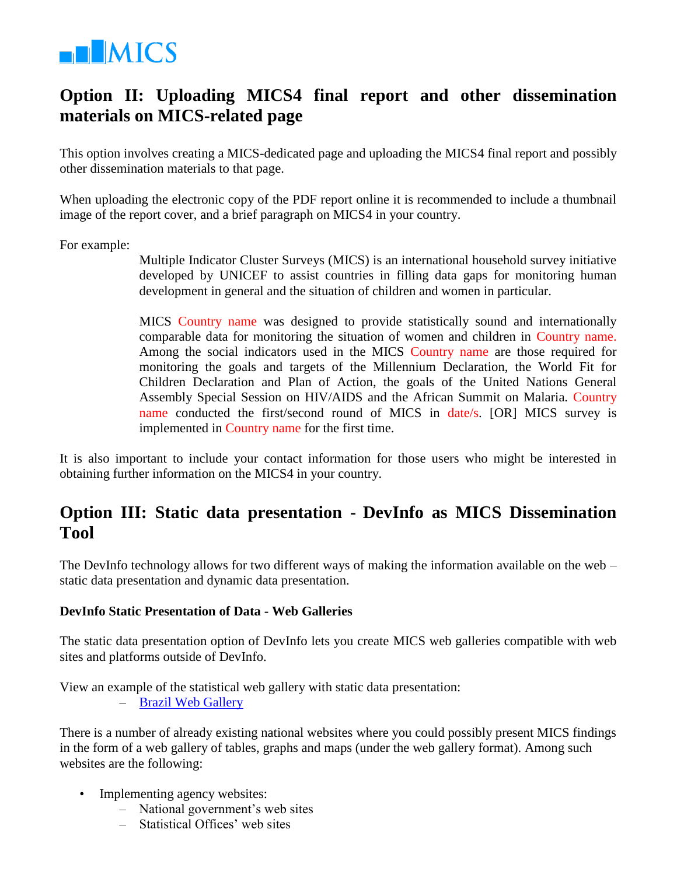

## **Option II: Uploading MICS4 final report and other dissemination materials on MICS-related page**

This option involves creating a MICS-dedicated page and uploading the MICS4 final report and possibly other dissemination materials to that page.

When uploading the electronic copy of the PDF report online it is recommended to include a thumbnail image of the report cover, and a brief paragraph on MICS4 in your country.

For example:

Multiple Indicator Cluster Surveys (MICS) is an international household survey initiative developed by UNICEF to assist countries in filling data gaps for monitoring human development in general and the situation of children and women in particular.

MICS Country name was designed to provide statistically sound and internationally comparable data for monitoring the situation of women and children in Country name. Among the social indicators used in the MICS Country name are those required for monitoring the goals and targets of the Millennium Declaration, the World Fit for Children Declaration and Plan of Action, the goals of the United Nations General Assembly Special Session on HIV/AIDS and the African Summit on Malaria. Country name conducted the first/second round of MICS in date/s. [OR] MICS survey is implemented in Country name for the first time.

It is also important to include your contact information for those users who might be interested in obtaining further information on the MICS4 in your country.

### **Option III: Static data presentation - DevInfo as MICS Dissemination Tool**

The DevInfo technology allows for two different ways of making the information available on the web – static data presentation and dynamic data presentation.

#### **DevInfo Static Presentation of Data - Web Galleries**

The static data presentation option of DevInfo lets you create MICS web galleries compatible with web sites and platforms outside of DevInfo.

View an example of the statistical web gallery with static data presentation:

– [Brazil Web Gallery](http://www.devinfo.info/galleries/brazilchildequity/)

There is a number of already existing national websites where you could possibly present MICS findings in the form of a web gallery of tables, graphs and maps (under the web gallery format). Among such websites are the following:

- Implementing agency websites:
	- National government's web sites
	- Statistical Offices' web sites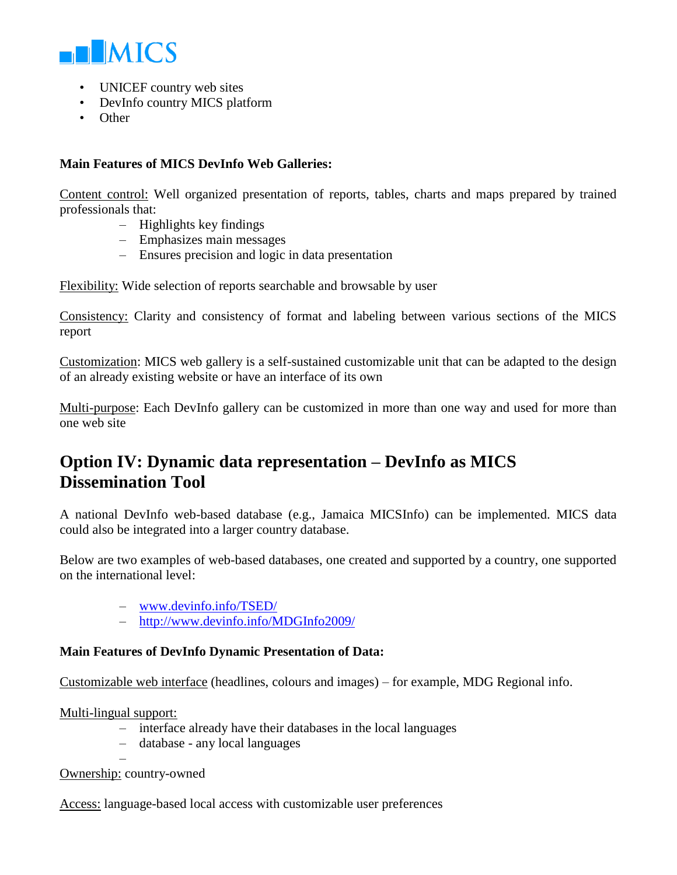

- UNICEF country web sites
- DevInfo country MICS platform
- Other

#### **Main Features of MICS DevInfo Web Galleries:**

Content control: Well organized presentation of reports, tables, charts and maps prepared by trained professionals that:

- Highlights key findings
- Emphasizes main messages
- Ensures precision and logic in data presentation

Flexibility: Wide selection of reports searchable and browsable by user

Consistency: Clarity and consistency of format and labeling between various sections of the MICS report

Customization: MICS web gallery is a self-sustained customizable unit that can be adapted to the design of an already existing website or have an interface of its own

Multi-purpose: Each DevInfo gallery can be customized in more than one way and used for more than one web site

# **Option IV: Dynamic data representation – DevInfo as MICS Dissemination Tool**

A national DevInfo web-based database (e.g., Jamaica MICSInfo) can be implemented. MICS data could also be integrated into a larger country database.

Below are two examples of web-based databases, one created and supported by a country, one supported on the international level:

- [www.devinfo.info/TSED/](http://www.devinfo.info/TSED/)
- <http://www.devinfo.info/MDGInfo2009/>

#### **Main Features of DevInfo Dynamic Presentation of Data:**

Customizable web interface (headlines, colours and images) – for example, MDG Regional info.

Multi-lingual support:

- interface already have their databases in the local languages
- database any local languages

–

Ownership: country-owned

Access: language-based local access with customizable user preferences